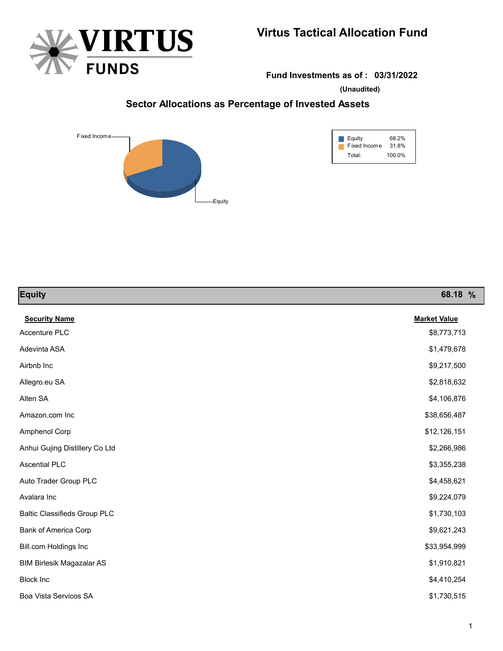



**Fund Investments as of : 03/31/2022**

**(Unaudited)**

## **Sector Allocations as Percentage of Invested Assets**



| Equity       | 68.2%  |
|--------------|--------|
| Fixed Income | 31.8%  |
| Total:       | 100.0% |

| <b>Equity</b>                       | 68.18 %             |
|-------------------------------------|---------------------|
| <b>Security Name</b>                | <b>Market Value</b> |
| Accenture PLC                       | \$8,773,713         |
| Adevinta ASA                        | \$1,479,678         |
| Airbnb Inc                          | \$9,217,500         |
| Allegro.eu SA                       | \$2,818,632         |
| Alten SA                            | \$4,106,876         |
| Amazon.com Inc                      | \$38,656,487        |
| Amphenol Corp                       | \$12,126,151        |
| Anhui Gujing Distillery Co Ltd      | \$2,266,986         |
| <b>Ascential PLC</b>                | \$3,355,238         |
| Auto Trader Group PLC               | \$4,458,621         |
| Avalara Inc                         | \$9,224,079         |
| <b>Baltic Classifieds Group PLC</b> | \$1,730,103         |
| Bank of America Corp                | \$9,621,243         |
| Bill.com Holdings Inc               | \$33,954,999        |
| <b>BIM Birlesik Magazalar AS</b>    | \$1,910,821         |
| <b>Block Inc</b>                    | \$4,410,254         |
| Boa Vista Servicos SA               | \$1,730,515         |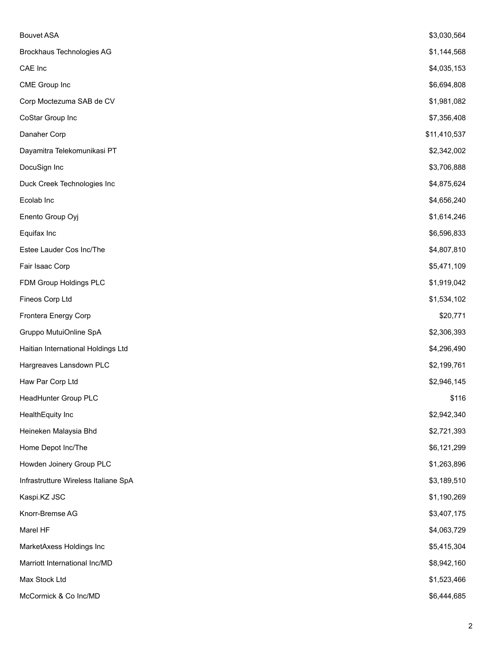| <b>Bouvet ASA</b>                    | \$3,030,564  |
|--------------------------------------|--------------|
| <b>Brockhaus Technologies AG</b>     | \$1,144,568  |
| CAE Inc                              | \$4,035,153  |
| CME Group Inc                        | \$6,694,808  |
| Corp Moctezuma SAB de CV             | \$1,981,082  |
| CoStar Group Inc                     | \$7,356,408  |
| Danaher Corp                         | \$11,410,537 |
| Dayamitra Telekomunikasi PT          | \$2,342,002  |
| DocuSign Inc                         | \$3,706,888  |
| Duck Creek Technologies Inc          | \$4,875,624  |
| Ecolab Inc                           | \$4,656,240  |
| Enento Group Oyj                     | \$1,614,246  |
| Equifax Inc                          | \$6,596,833  |
| Estee Lauder Cos Inc/The             | \$4,807,810  |
| Fair Isaac Corp                      | \$5,471,109  |
| FDM Group Holdings PLC               | \$1,919,042  |
| Fineos Corp Ltd                      | \$1,534,102  |
| Frontera Energy Corp                 | \$20,771     |
| Gruppo MutuiOnline SpA               | \$2,306,393  |
| Haitian International Holdings Ltd   | \$4,296,490  |
| Hargreaves Lansdown PLC              | \$2,199,761  |
| Haw Par Corp Ltd                     | \$2,946,145  |
| HeadHunter Group PLC                 | \$116        |
| HealthEquity Inc                     | \$2,942,340  |
| Heineken Malaysia Bhd                | \$2,721,393  |
| Home Depot Inc/The                   | \$6,121,299  |
| Howden Joinery Group PLC             | \$1,263,896  |
| Infrastrutture Wireless Italiane SpA | \$3,189,510  |
| Kaspi.KZ JSC                         | \$1,190,269  |
| Knorr-Bremse AG                      | \$3,407,175  |
| Marel HF                             | \$4,063,729  |
| MarketAxess Holdings Inc             | \$5,415,304  |
| Marriott International Inc/MD        | \$8,942,160  |
| Max Stock Ltd                        | \$1,523,466  |
| McCormick & Co Inc/MD                | \$6,444,685  |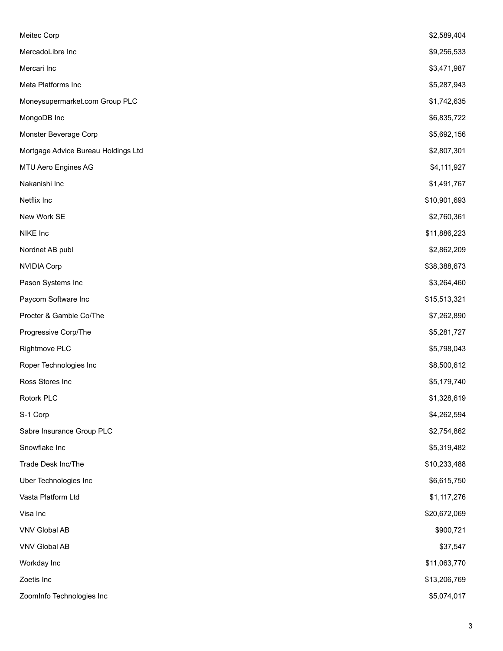| Meitec Corp                         | \$2,589,404  |
|-------------------------------------|--------------|
| MercadoLibre Inc                    | \$9,256,533  |
| Mercari Inc                         | \$3,471,987  |
| Meta Platforms Inc                  | \$5,287,943  |
| Moneysupermarket.com Group PLC      | \$1,742,635  |
| MongoDB Inc                         | \$6,835,722  |
| Monster Beverage Corp               | \$5,692,156  |
| Mortgage Advice Bureau Holdings Ltd | \$2,807,301  |
| MTU Aero Engines AG                 | \$4,111,927  |
| Nakanishi Inc                       | \$1,491,767  |
| Netflix Inc                         | \$10,901,693 |
| New Work SE                         | \$2,760,361  |
| NIKE Inc                            | \$11,886,223 |
| Nordnet AB publ                     | \$2,862,209  |
| <b>NVIDIA Corp</b>                  | \$38,388,673 |
| Pason Systems Inc                   | \$3,264,460  |
| Paycom Software Inc                 | \$15,513,321 |
| Procter & Gamble Co/The             | \$7,262,890  |
| Progressive Corp/The                | \$5,281,727  |
| Rightmove PLC                       | \$5,798,043  |
| Roper Technologies Inc              | \$8,500,612  |
| Ross Stores Inc                     | \$5,179,740  |
| Rotork PLC                          | \$1,328,619  |
| S-1 Corp                            | \$4,262,594  |
| Sabre Insurance Group PLC           | \$2,754,862  |
| Snowflake Inc                       | \$5,319,482  |
| Trade Desk Inc/The                  | \$10,233,488 |
| Uber Technologies Inc               | \$6,615,750  |
| Vasta Platform Ltd                  | \$1,117,276  |
| Visa Inc                            | \$20,672,069 |
| <b>VNV Global AB</b>                | \$900,721    |
| VNV Global AB                       | \$37,547     |
| Workday Inc                         | \$11,063,770 |
| Zoetis Inc                          | \$13,206,769 |
| ZoomInfo Technologies Inc           | \$5,074,017  |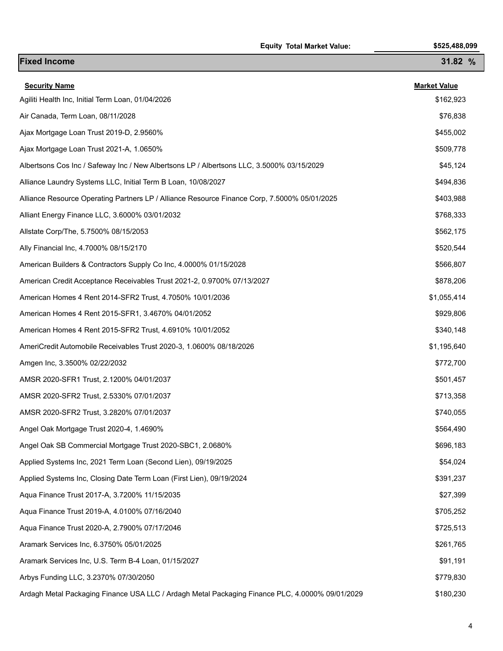|                                                                                                 | <b>Equity Total Market Value:</b> | \$525,488,099       |
|-------------------------------------------------------------------------------------------------|-----------------------------------|---------------------|
| <b>Fixed Income</b>                                                                             |                                   | 31.82 %             |
| <b>Security Name</b>                                                                            |                                   | <b>Market Value</b> |
| Agiliti Health Inc, Initial Term Loan, 01/04/2026                                               |                                   | \$162,923           |
| Air Canada, Term Loan, 08/11/2028                                                               |                                   | \$76,838            |
| Ajax Mortgage Loan Trust 2019-D, 2.9560%                                                        |                                   | \$455,002           |
| Ajax Mortgage Loan Trust 2021-A, 1.0650%                                                        |                                   | \$509,778           |
| Albertsons Cos Inc / Safeway Inc / New Albertsons LP / Albertsons LLC, 3.5000% 03/15/2029       |                                   | \$45,124            |
| Alliance Laundry Systems LLC, Initial Term B Loan, 10/08/2027                                   |                                   | \$494,836           |
| Alliance Resource Operating Partners LP / Alliance Resource Finance Corp, 7.5000% 05/01/2025    |                                   | \$403,988           |
| Alliant Energy Finance LLC, 3.6000% 03/01/2032                                                  |                                   | \$768,333           |
| Allstate Corp/The, 5.7500% 08/15/2053                                                           |                                   | \$562,175           |
| Ally Financial Inc, 4.7000% 08/15/2170                                                          |                                   | \$520,544           |
| American Builders & Contractors Supply Co Inc, 4.0000% 01/15/2028                               |                                   | \$566,807           |
| American Credit Acceptance Receivables Trust 2021-2, 0.9700% 07/13/2027                         |                                   | \$878,206           |
| American Homes 4 Rent 2014-SFR2 Trust, 4.7050% 10/01/2036                                       |                                   | \$1,055,414         |
| American Homes 4 Rent 2015-SFR1, 3.4670% 04/01/2052                                             |                                   | \$929,806           |
| American Homes 4 Rent 2015-SFR2 Trust, 4.6910% 10/01/2052                                       |                                   | \$340,148           |
| AmeriCredit Automobile Receivables Trust 2020-3, 1.0600% 08/18/2026                             |                                   | \$1,195,640         |
| Amgen Inc, 3.3500% 02/22/2032                                                                   |                                   | \$772,700           |
| AMSR 2020-SFR1 Trust, 2.1200% 04/01/2037                                                        |                                   | \$501,457           |
| AMSR 2020-SFR2 Trust, 2.5330% 07/01/2037                                                        |                                   | \$713,358           |
| AMSR 2020-SFR2 Trust, 3.2820% 07/01/2037                                                        |                                   | \$740,055           |
| Angel Oak Mortgage Trust 2020-4, 1.4690%                                                        |                                   | \$564,490           |
| Angel Oak SB Commercial Mortgage Trust 2020-SBC1, 2.0680%                                       |                                   | \$696,183           |
| Applied Systems Inc, 2021 Term Loan (Second Lien), 09/19/2025                                   |                                   | \$54,024            |
| Applied Systems Inc, Closing Date Term Loan (First Lien), 09/19/2024                            |                                   | \$391,237           |
| Aqua Finance Trust 2017-A, 3.7200% 11/15/2035                                                   |                                   | \$27,399            |
| Aqua Finance Trust 2019-A, 4.0100% 07/16/2040                                                   |                                   | \$705,252           |
| Aqua Finance Trust 2020-A, 2.7900% 07/17/2046                                                   |                                   | \$725,513           |
| Aramark Services Inc, 6.3750% 05/01/2025                                                        |                                   | \$261,765           |
| Aramark Services Inc, U.S. Term B-4 Loan, 01/15/2027                                            |                                   | \$91,191            |
| Arbys Funding LLC, 3.2370% 07/30/2050                                                           |                                   | \$779,830           |
| Ardagh Metal Packaging Finance USA LLC / Ardagh Metal Packaging Finance PLC, 4.0000% 09/01/2029 |                                   | \$180,230           |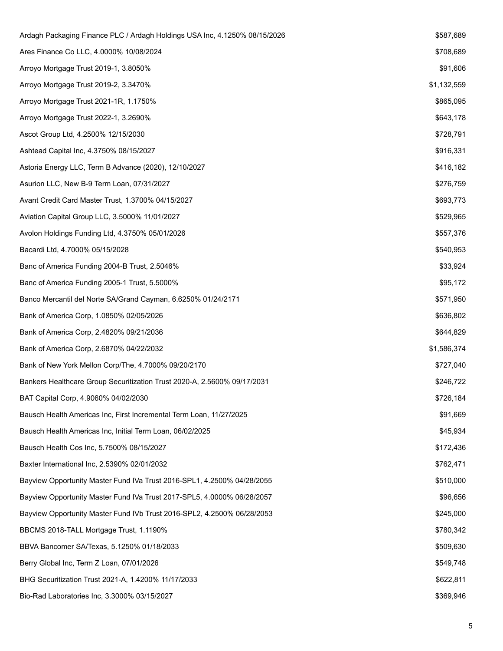| Ardagh Packaging Finance PLC / Ardagh Holdings USA Inc, 4.1250% 08/15/2026 | \$587,689   |
|----------------------------------------------------------------------------|-------------|
| Ares Finance Co LLC, 4.0000% 10/08/2024                                    | \$708,689   |
| Arroyo Mortgage Trust 2019-1, 3.8050%                                      | \$91,606    |
| Arroyo Mortgage Trust 2019-2, 3.3470%                                      | \$1,132,559 |
| Arroyo Mortgage Trust 2021-1R, 1.1750%                                     | \$865,095   |
| Arroyo Mortgage Trust 2022-1, 3.2690%                                      | \$643,178   |
| Ascot Group Ltd, 4.2500% 12/15/2030                                        | \$728,791   |
| Ashtead Capital Inc, 4.3750% 08/15/2027                                    | \$916,331   |
| Astoria Energy LLC, Term B Advance (2020), 12/10/2027                      | \$416,182   |
| Asurion LLC, New B-9 Term Loan, 07/31/2027                                 | \$276,759   |
| Avant Credit Card Master Trust, 1.3700% 04/15/2027                         | \$693,773   |
| Aviation Capital Group LLC, 3.5000% 11/01/2027                             | \$529,965   |
| Avolon Holdings Funding Ltd, 4.3750% 05/01/2026                            | \$557,376   |
| Bacardi Ltd, 4.7000% 05/15/2028                                            | \$540,953   |
| Banc of America Funding 2004-B Trust, 2.5046%                              | \$33,924    |
| Banc of America Funding 2005-1 Trust, 5.5000%                              | \$95,172    |
| Banco Mercantil del Norte SA/Grand Cayman, 6.6250% 01/24/2171              | \$571,950   |
| Bank of America Corp, 1.0850% 02/05/2026                                   | \$636,802   |
| Bank of America Corp, 2.4820% 09/21/2036                                   | \$644,829   |
| Bank of America Corp, 2.6870% 04/22/2032                                   | \$1,586,374 |
| Bank of New York Mellon Corp/The, 4.7000% 09/20/2170                       | \$727,040   |
| Bankers Healthcare Group Securitization Trust 2020-A, 2.5600% 09/17/2031   | \$246,722   |
| BAT Capital Corp, 4.9060% 04/02/2030                                       | \$726,184   |
| Bausch Health Americas Inc, First Incremental Term Loan, 11/27/2025        | \$91,669    |
| Bausch Health Americas Inc, Initial Term Loan, 06/02/2025                  | \$45,934    |
| Bausch Health Cos Inc, 5.7500% 08/15/2027                                  | \$172,436   |
| Baxter International Inc, 2.5390% 02/01/2032                               | \$762,471   |
| Bayview Opportunity Master Fund IVa Trust 2016-SPL1, 4.2500% 04/28/2055    | \$510,000   |
| Bayview Opportunity Master Fund IVa Trust 2017-SPL5, 4.0000% 06/28/2057    | \$96,656    |
| Bayview Opportunity Master Fund IVb Trust 2016-SPL2, 4.2500% 06/28/2053    | \$245,000   |
| BBCMS 2018-TALL Mortgage Trust, 1.1190%                                    | \$780,342   |
| BBVA Bancomer SA/Texas, 5.1250% 01/18/2033                                 | \$509,630   |
| Berry Global Inc, Term Z Loan, 07/01/2026                                  | \$549,748   |
| BHG Securitization Trust 2021-A, 1.4200% 11/17/2033                        | \$622,811   |
| Bio-Rad Laboratories Inc, 3.3000% 03/15/2027                               | \$369,946   |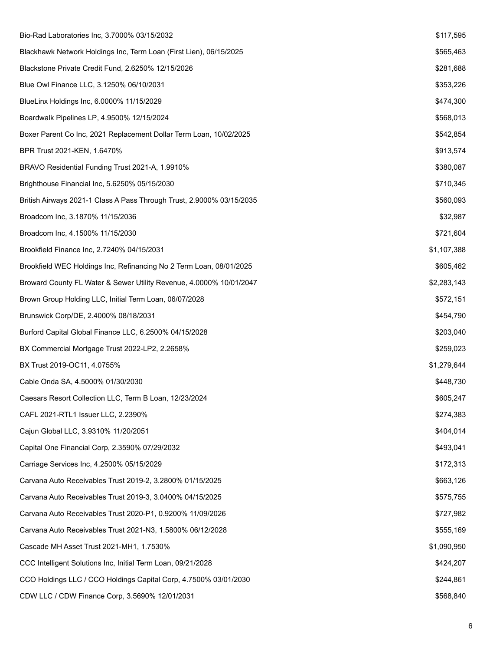| Bio-Rad Laboratories Inc, 3.7000% 03/15/2032                          | \$117,595   |
|-----------------------------------------------------------------------|-------------|
| Blackhawk Network Holdings Inc, Term Loan (First Lien), 06/15/2025    | \$565,463   |
| Blackstone Private Credit Fund, 2.6250% 12/15/2026                    | \$281,688   |
| Blue Owl Finance LLC, 3.1250% 06/10/2031                              | \$353,226   |
| BlueLinx Holdings Inc, 6.0000% 11/15/2029                             | \$474,300   |
| Boardwalk Pipelines LP, 4.9500% 12/15/2024                            | \$568,013   |
| Boxer Parent Co Inc, 2021 Replacement Dollar Term Loan, 10/02/2025    | \$542,854   |
| BPR Trust 2021-KEN, 1.6470%                                           | \$913,574   |
| BRAVO Residential Funding Trust 2021-A, 1.9910%                       | \$380,087   |
| Brighthouse Financial Inc, 5.6250% 05/15/2030                         | \$710,345   |
| British Airways 2021-1 Class A Pass Through Trust, 2.9000% 03/15/2035 | \$560,093   |
| Broadcom Inc, 3.1870% 11/15/2036                                      | \$32,987    |
| Broadcom Inc, 4.1500% 11/15/2030                                      | \$721,604   |
| Brookfield Finance Inc, 2.7240% 04/15/2031                            | \$1,107,388 |
| Brookfield WEC Holdings Inc, Refinancing No 2 Term Loan, 08/01/2025   | \$605,462   |
| Broward County FL Water & Sewer Utility Revenue, 4.0000% 10/01/2047   | \$2,283,143 |
| Brown Group Holding LLC, Initial Term Loan, 06/07/2028                | \$572,151   |
| Brunswick Corp/DE, 2.4000% 08/18/2031                                 | \$454,790   |
| Burford Capital Global Finance LLC, 6.2500% 04/15/2028                | \$203,040   |
| BX Commercial Mortgage Trust 2022-LP2, 2.2658%                        | \$259,023   |
| BX Trust 2019-OC11, 4.0755%                                           | \$1,279,644 |
| Cable Onda SA, 4.5000% 01/30/2030                                     | \$448,730   |
| Caesars Resort Collection LLC, Term B Loan, 12/23/2024                | \$605,247   |
| CAFL 2021-RTL1 Issuer LLC, 2.2390%                                    | \$274,383   |
| Cajun Global LLC, 3.9310% 11/20/2051                                  | \$404,014   |
| Capital One Financial Corp, 2.3590% 07/29/2032                        | \$493,041   |
| Carriage Services Inc, 4.2500% 05/15/2029                             | \$172,313   |
| Carvana Auto Receivables Trust 2019-2, 3.2800% 01/15/2025             | \$663,126   |
| Carvana Auto Receivables Trust 2019-3, 3.0400% 04/15/2025             | \$575,755   |
| Carvana Auto Receivables Trust 2020-P1, 0.9200% 11/09/2026            | \$727,982   |
| Carvana Auto Receivables Trust 2021-N3, 1.5800% 06/12/2028            | \$555,169   |
| Cascade MH Asset Trust 2021-MH1, 1.7530%                              | \$1,090,950 |
| CCC Intelligent Solutions Inc, Initial Term Loan, 09/21/2028          | \$424,207   |
| CCO Holdings LLC / CCO Holdings Capital Corp, 4.7500% 03/01/2030      | \$244,861   |
| CDW LLC / CDW Finance Corp, 3.5690% 12/01/2031                        | \$568,840   |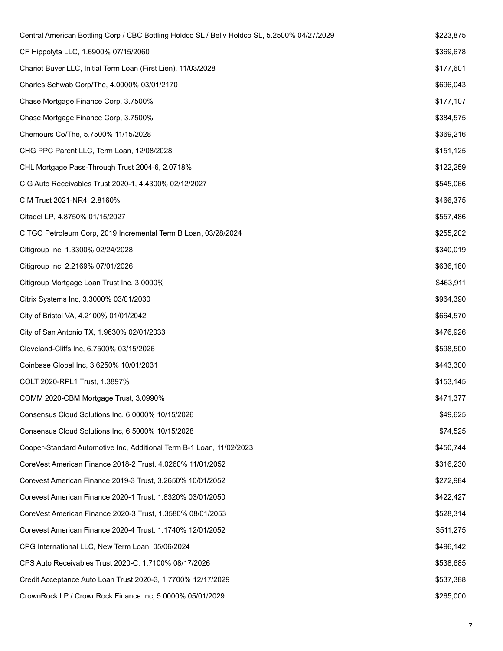| Central American Bottling Corp / CBC Bottling Holdco SL / Beliv Holdco SL, 5.2500% 04/27/2029 | \$223,875 |
|-----------------------------------------------------------------------------------------------|-----------|
| CF Hippolyta LLC, 1.6900% 07/15/2060                                                          | \$369,678 |
| Chariot Buyer LLC, Initial Term Loan (First Lien), 11/03/2028                                 | \$177,601 |
| Charles Schwab Corp/The, 4.0000% 03/01/2170                                                   | \$696,043 |
| Chase Mortgage Finance Corp, 3.7500%                                                          | \$177,107 |
| Chase Mortgage Finance Corp, 3.7500%                                                          | \$384,575 |
| Chemours Co/The, 5.7500% 11/15/2028                                                           | \$369,216 |
| CHG PPC Parent LLC, Term Loan, 12/08/2028                                                     | \$151,125 |
| CHL Mortgage Pass-Through Trust 2004-6, 2.0718%                                               | \$122,259 |
| CIG Auto Receivables Trust 2020-1, 4.4300% 02/12/2027                                         | \$545,066 |
| CIM Trust 2021-NR4, 2.8160%                                                                   | \$466,375 |
| Citadel LP, 4.8750% 01/15/2027                                                                | \$557,486 |
| CITGO Petroleum Corp, 2019 Incremental Term B Loan, 03/28/2024                                | \$255,202 |
| Citigroup Inc, 1.3300% 02/24/2028                                                             | \$340,019 |
| Citigroup Inc, 2.2169% 07/01/2026                                                             | \$636,180 |
| Citigroup Mortgage Loan Trust Inc, 3.0000%                                                    | \$463,911 |
| Citrix Systems Inc, 3.3000% 03/01/2030                                                        | \$964,390 |
| City of Bristol VA, 4.2100% 01/01/2042                                                        | \$664,570 |
| City of San Antonio TX, 1.9630% 02/01/2033                                                    | \$476,926 |
| Cleveland-Cliffs Inc, 6.7500% 03/15/2026                                                      | \$598,500 |
| Coinbase Global Inc, 3.6250% 10/01/2031                                                       | \$443,300 |
| COLT 2020-RPL1 Trust, 1.3897%                                                                 | \$153,145 |
| COMM 2020-CBM Mortgage Trust, 3.0990%                                                         | \$471,377 |
| Consensus Cloud Solutions Inc, 6.0000% 10/15/2026                                             | \$49,625  |
| Consensus Cloud Solutions Inc, 6.5000% 10/15/2028                                             | \$74,525  |
| Cooper-Standard Automotive Inc, Additional Term B-1 Loan, 11/02/2023                          | \$450,744 |
| CoreVest American Finance 2018-2 Trust, 4.0260% 11/01/2052                                    | \$316,230 |
| Corevest American Finance 2019-3 Trust, 3.2650% 10/01/2052                                    | \$272,984 |
| Corevest American Finance 2020-1 Trust, 1.8320% 03/01/2050                                    | \$422,427 |
| CoreVest American Finance 2020-3 Trust, 1.3580% 08/01/2053                                    | \$528,314 |
| Corevest American Finance 2020-4 Trust, 1.1740% 12/01/2052                                    | \$511,275 |
| CPG International LLC, New Term Loan, 05/06/2024                                              | \$496,142 |
| CPS Auto Receivables Trust 2020-C, 1.7100% 08/17/2026                                         | \$538,685 |
| Credit Acceptance Auto Loan Trust 2020-3, 1.7700% 12/17/2029                                  | \$537,388 |
| CrownRock LP / CrownRock Finance Inc, 5.0000% 05/01/2029                                      | \$265,000 |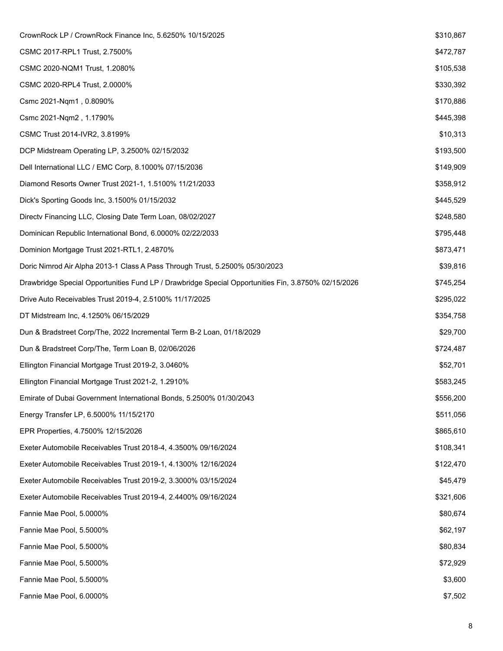| CrownRock LP / CrownRock Finance Inc, 5.6250% 10/15/2025                                            | \$310,867 |
|-----------------------------------------------------------------------------------------------------|-----------|
| CSMC 2017-RPL1 Trust, 2.7500%                                                                       | \$472,787 |
| CSMC 2020-NQM1 Trust, 1.2080%                                                                       | \$105,538 |
| CSMC 2020-RPL4 Trust, 2.0000%                                                                       | \$330,392 |
| Csmc 2021-Nqm1, 0.8090%                                                                             | \$170,886 |
| Csmc 2021-Nqm2, 1.1790%                                                                             | \$445,398 |
| CSMC Trust 2014-IVR2, 3.8199%                                                                       | \$10,313  |
| DCP Midstream Operating LP, 3.2500% 02/15/2032                                                      | \$193,500 |
| Dell International LLC / EMC Corp, 8.1000% 07/15/2036                                               | \$149,909 |
| Diamond Resorts Owner Trust 2021-1, 1.5100% 11/21/2033                                              | \$358,912 |
| Dick's Sporting Goods Inc, 3.1500% 01/15/2032                                                       | \$445,529 |
| Directv Financing LLC, Closing Date Term Loan, 08/02/2027                                           | \$248,580 |
| Dominican Republic International Bond, 6.0000% 02/22/2033                                           | \$795,448 |
| Dominion Mortgage Trust 2021-RTL1, 2.4870%                                                          | \$873,471 |
| Doric Nimrod Air Alpha 2013-1 Class A Pass Through Trust, 5.2500% 05/30/2023                        | \$39,816  |
| Drawbridge Special Opportunities Fund LP / Drawbridge Special Opportunities Fin, 3.8750% 02/15/2026 | \$745,254 |
| Drive Auto Receivables Trust 2019-4, 2.5100% 11/17/2025                                             | \$295,022 |
| DT Midstream Inc, 4.1250% 06/15/2029                                                                | \$354,758 |
| Dun & Bradstreet Corp/The, 2022 Incremental Term B-2 Loan, 01/18/2029                               | \$29,700  |
| Dun & Bradstreet Corp/The, Term Loan B, 02/06/2026                                                  | \$724,487 |
| Ellington Financial Mortgage Trust 2019-2, 3.0460%                                                  | \$52,701  |
| Ellington Financial Mortgage Trust 2021-2, 1.2910%                                                  | \$583,245 |
| Emirate of Dubai Government International Bonds, 5.2500% 01/30/2043                                 | \$556,200 |
| Energy Transfer LP, 6.5000% 11/15/2170                                                              | \$511,056 |
| EPR Properties, 4.7500% 12/15/2026                                                                  | \$865,610 |
| Exeter Automobile Receivables Trust 2018-4, 4.3500% 09/16/2024                                      | \$108,341 |
| Exeter Automobile Receivables Trust 2019-1, 4.1300% 12/16/2024                                      | \$122,470 |
| Exeter Automobile Receivables Trust 2019-2, 3.3000% 03/15/2024                                      | \$45,479  |
| Exeter Automobile Receivables Trust 2019-4, 2.4400% 09/16/2024                                      | \$321,606 |
| Fannie Mae Pool, 5.0000%                                                                            | \$80,674  |
| Fannie Mae Pool, 5.5000%                                                                            | \$62,197  |
| Fannie Mae Pool, 5.5000%                                                                            | \$80,834  |
| Fannie Mae Pool, 5.5000%                                                                            | \$72,929  |
| Fannie Mae Pool, 5.5000%                                                                            | \$3,600   |
| Fannie Mae Pool, 6.0000%                                                                            | \$7,502   |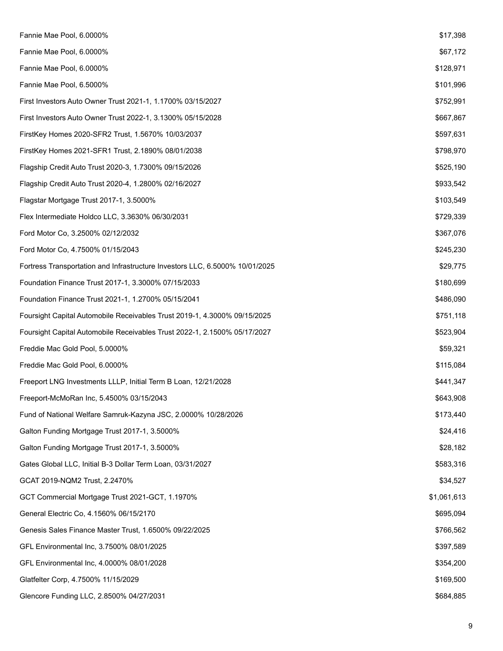| Fannie Mae Pool, 6.0000%                                                     | \$17,398    |
|------------------------------------------------------------------------------|-------------|
| Fannie Mae Pool, 6.0000%                                                     | \$67,172    |
| Fannie Mae Pool, 6.0000%                                                     | \$128,971   |
| Fannie Mae Pool, 6.5000%                                                     | \$101,996   |
| First Investors Auto Owner Trust 2021-1, 1.1700% 03/15/2027                  | \$752,991   |
| First Investors Auto Owner Trust 2022-1, 3.1300% 05/15/2028                  | \$667,867   |
| FirstKey Homes 2020-SFR2 Trust, 1.5670% 10/03/2037                           | \$597,631   |
| FirstKey Homes 2021-SFR1 Trust, 2.1890% 08/01/2038                           | \$798,970   |
| Flagship Credit Auto Trust 2020-3, 1.7300% 09/15/2026                        | \$525,190   |
| Flagship Credit Auto Trust 2020-4, 1.2800% 02/16/2027                        | \$933,542   |
| Flagstar Mortgage Trust 2017-1, 3.5000%                                      | \$103,549   |
| Flex Intermediate Holdco LLC, 3.3630% 06/30/2031                             | \$729,339   |
| Ford Motor Co, 3.2500% 02/12/2032                                            | \$367,076   |
| Ford Motor Co, 4.7500% 01/15/2043                                            | \$245,230   |
| Fortress Transportation and Infrastructure Investors LLC, 6.5000% 10/01/2025 | \$29,775    |
| Foundation Finance Trust 2017-1, 3.3000% 07/15/2033                          | \$180,699   |
| Foundation Finance Trust 2021-1, 1.2700% 05/15/2041                          | \$486,090   |
| Foursight Capital Automobile Receivables Trust 2019-1, 4.3000% 09/15/2025    | \$751,118   |
| Foursight Capital Automobile Receivables Trust 2022-1, 2.1500% 05/17/2027    | \$523,904   |
| Freddie Mac Gold Pool, 5.0000%                                               | \$59,321    |
| Freddie Mac Gold Pool, 6.0000%                                               | \$115,084   |
| Freeport LNG Investments LLLP, Initial Term B Loan, 12/21/2028               | \$441,347   |
| Freeport-McMoRan Inc, 5.4500% 03/15/2043                                     | \$643,908   |
| Fund of National Welfare Samruk-Kazyna JSC, 2.0000% 10/28/2026               | \$173,440   |
| Galton Funding Mortgage Trust 2017-1, 3.5000%                                | \$24,416    |
| Galton Funding Mortgage Trust 2017-1, 3.5000%                                | \$28,182    |
| Gates Global LLC, Initial B-3 Dollar Term Loan, 03/31/2027                   | \$583,316   |
| GCAT 2019-NQM2 Trust, 2.2470%                                                | \$34,527    |
| GCT Commercial Mortgage Trust 2021-GCT, 1.1970%                              | \$1,061,613 |
| General Electric Co, 4.1560% 06/15/2170                                      | \$695,094   |
| Genesis Sales Finance Master Trust, 1.6500% 09/22/2025                       | \$766,562   |
| GFL Environmental Inc, 3.7500% 08/01/2025                                    | \$397,589   |
| GFL Environmental Inc, 4.0000% 08/01/2028                                    | \$354,200   |
| Glatfelter Corp, 4.7500% 11/15/2029                                          | \$169,500   |
| Glencore Funding LLC, 2.8500% 04/27/2031                                     | \$684,885   |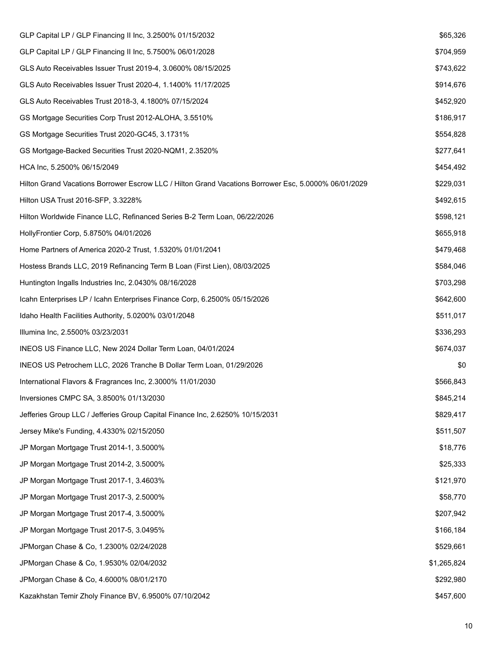| GLP Capital LP / GLP Financing II Inc, 3.2500% 01/15/2032                                            | \$65,326    |
|------------------------------------------------------------------------------------------------------|-------------|
| GLP Capital LP / GLP Financing II Inc, 5.7500% 06/01/2028                                            | \$704,959   |
| GLS Auto Receivables Issuer Trust 2019-4, 3.0600% 08/15/2025                                         | \$743,622   |
| GLS Auto Receivables Issuer Trust 2020-4, 1.1400% 11/17/2025                                         | \$914,676   |
| GLS Auto Receivables Trust 2018-3, 4.1800% 07/15/2024                                                | \$452,920   |
| GS Mortgage Securities Corp Trust 2012-ALOHA, 3.5510%                                                | \$186,917   |
| GS Mortgage Securities Trust 2020-GC45, 3.1731%                                                      | \$554,828   |
| GS Mortgage-Backed Securities Trust 2020-NQM1, 2.3520%                                               | \$277,641   |
| HCA Inc, 5.2500% 06/15/2049                                                                          | \$454,492   |
| Hilton Grand Vacations Borrower Escrow LLC / Hilton Grand Vacations Borrower Esc, 5.0000% 06/01/2029 | \$229,031   |
| Hilton USA Trust 2016-SFP, 3.3228%                                                                   | \$492,615   |
| Hilton Worldwide Finance LLC, Refinanced Series B-2 Term Loan, 06/22/2026                            | \$598,121   |
| HollyFrontier Corp, 5.8750% 04/01/2026                                                               | \$655,918   |
| Home Partners of America 2020-2 Trust, 1.5320% 01/01/2041                                            | \$479,468   |
| Hostess Brands LLC, 2019 Refinancing Term B Loan (First Lien), 08/03/2025                            | \$584,046   |
| Huntington Ingalls Industries Inc, 2.0430% 08/16/2028                                                | \$703,298   |
| Icahn Enterprises LP / Icahn Enterprises Finance Corp, 6.2500% 05/15/2026                            | \$642,600   |
| Idaho Health Facilities Authority, 5.0200% 03/01/2048                                                | \$511,017   |
| Illumina Inc, 2.5500% 03/23/2031                                                                     | \$336,293   |
| INEOS US Finance LLC, New 2024 Dollar Term Loan, 04/01/2024                                          | \$674,037   |
| INEOS US Petrochem LLC, 2026 Tranche B Dollar Term Loan, 01/29/2026                                  | \$0         |
| International Flavors & Fragrances Inc, 2.3000% 11/01/2030                                           | \$566,843   |
| Inversiones CMPC SA, 3.8500% 01/13/2030                                                              | \$845,214   |
| Jefferies Group LLC / Jefferies Group Capital Finance Inc, 2.6250% 10/15/2031                        | \$829,417   |
| Jersey Mike's Funding, 4.4330% 02/15/2050                                                            | \$511,507   |
| JP Morgan Mortgage Trust 2014-1, 3.5000%                                                             | \$18,776    |
| JP Morgan Mortgage Trust 2014-2, 3.5000%                                                             | \$25,333    |
| JP Morgan Mortgage Trust 2017-1, 3.4603%                                                             | \$121,970   |
| JP Morgan Mortgage Trust 2017-3, 2.5000%                                                             | \$58,770    |
| JP Morgan Mortgage Trust 2017-4, 3.5000%                                                             | \$207,942   |
| JP Morgan Mortgage Trust 2017-5, 3.0495%                                                             | \$166,184   |
| JPMorgan Chase & Co, 1.2300% 02/24/2028                                                              | \$529,661   |
| JPMorgan Chase & Co, 1.9530% 02/04/2032                                                              | \$1,265,824 |
| JPMorgan Chase & Co, 4.6000% 08/01/2170                                                              | \$292,980   |
| Kazakhstan Temir Zholy Finance BV, 6.9500% 07/10/2042                                                | \$457,600   |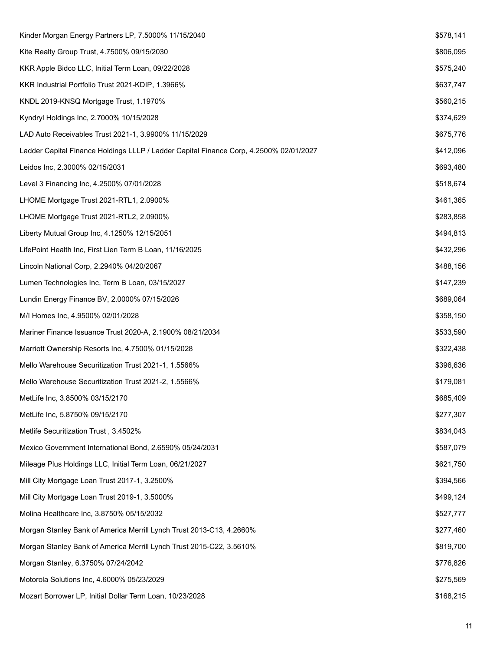| Kinder Morgan Energy Partners LP, 7.5000% 11/15/2040                                   | \$578,141 |
|----------------------------------------------------------------------------------------|-----------|
| Kite Realty Group Trust, 4.7500% 09/15/2030                                            | \$806,095 |
| KKR Apple Bidco LLC, Initial Term Loan, 09/22/2028                                     | \$575,240 |
| KKR Industrial Portfolio Trust 2021-KDIP, 1.3966%                                      | \$637,747 |
| KNDL 2019-KNSQ Mortgage Trust, 1.1970%                                                 | \$560,215 |
| Kyndryl Holdings Inc, 2.7000% 10/15/2028                                               | \$374,629 |
| LAD Auto Receivables Trust 2021-1, 3.9900% 11/15/2029                                  | \$675,776 |
| Ladder Capital Finance Holdings LLLP / Ladder Capital Finance Corp, 4.2500% 02/01/2027 | \$412,096 |
| Leidos Inc, 2.3000% 02/15/2031                                                         | \$693,480 |
| Level 3 Financing Inc, 4.2500% 07/01/2028                                              | \$518,674 |
| LHOME Mortgage Trust 2021-RTL1, 2.0900%                                                | \$461,365 |
| LHOME Mortgage Trust 2021-RTL2, 2.0900%                                                | \$283,858 |
| Liberty Mutual Group Inc, 4.1250% 12/15/2051                                           | \$494,813 |
| LifePoint Health Inc, First Lien Term B Loan, 11/16/2025                               | \$432,296 |
| Lincoln National Corp, 2.2940% 04/20/2067                                              | \$488,156 |
| Lumen Technologies Inc, Term B Loan, 03/15/2027                                        | \$147,239 |
| Lundin Energy Finance BV, 2.0000% 07/15/2026                                           | \$689,064 |
| M/I Homes Inc, 4.9500% 02/01/2028                                                      | \$358,150 |
| Mariner Finance Issuance Trust 2020-A, 2.1900% 08/21/2034                              | \$533,590 |
| Marriott Ownership Resorts Inc, 4.7500% 01/15/2028                                     | \$322,438 |
| Mello Warehouse Securitization Trust 2021-1, 1.5566%                                   | \$396,636 |
| Mello Warehouse Securitization Trust 2021-2, 1.5566%                                   | \$179,081 |
| MetLife Inc, 3.8500% 03/15/2170                                                        | \$685,409 |
| MetLife Inc, 5.8750% 09/15/2170                                                        | \$277,307 |
| Metlife Securitization Trust, 3.4502%                                                  | \$834,043 |
| Mexico Government International Bond, 2.6590% 05/24/2031                               | \$587,079 |
| Mileage Plus Holdings LLC, Initial Term Loan, 06/21/2027                               | \$621,750 |
| Mill City Mortgage Loan Trust 2017-1, 3.2500%                                          | \$394,566 |
| Mill City Mortgage Loan Trust 2019-1, 3.5000%                                          | \$499,124 |
| Molina Healthcare Inc, 3.8750% 05/15/2032                                              | \$527,777 |
| Morgan Stanley Bank of America Merrill Lynch Trust 2013-C13, 4.2660%                   | \$277,460 |
| Morgan Stanley Bank of America Merrill Lynch Trust 2015-C22, 3.5610%                   | \$819,700 |
| Morgan Stanley, 6.3750% 07/24/2042                                                     | \$776,826 |
| Motorola Solutions Inc, 4.6000% 05/23/2029                                             | \$275,569 |
| Mozart Borrower LP, Initial Dollar Term Loan, 10/23/2028                               | \$168,215 |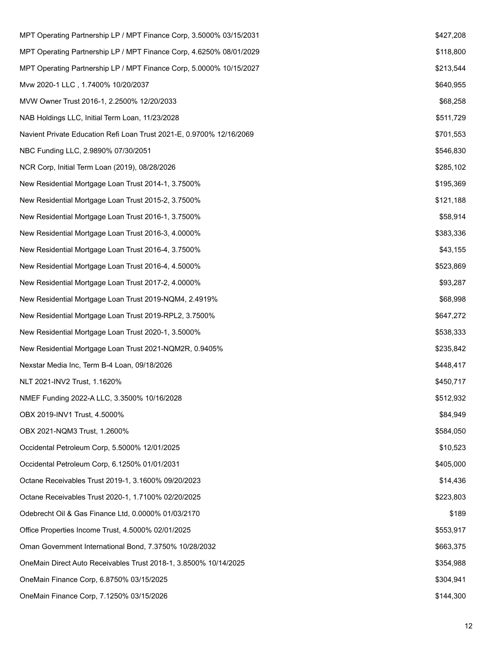| MPT Operating Partnership LP / MPT Finance Corp, 3.5000% 03/15/2031  | \$427,208 |
|----------------------------------------------------------------------|-----------|
| MPT Operating Partnership LP / MPT Finance Corp, 4.6250% 08/01/2029  | \$118,800 |
| MPT Operating Partnership LP / MPT Finance Corp, 5.0000% 10/15/2027  | \$213,544 |
| Mvw 2020-1 LLC, 1.7400% 10/20/2037                                   | \$640,955 |
| MVW Owner Trust 2016-1, 2.2500% 12/20/2033                           | \$68,258  |
| NAB Holdings LLC, Initial Term Loan, 11/23/2028                      | \$511,729 |
| Navient Private Education Refi Loan Trust 2021-E, 0.9700% 12/16/2069 | \$701,553 |
| NBC Funding LLC, 2.9890% 07/30/2051                                  | \$546,830 |
| NCR Corp, Initial Term Loan (2019), 08/28/2026                       | \$285,102 |
| New Residential Mortgage Loan Trust 2014-1, 3.7500%                  | \$195,369 |
| New Residential Mortgage Loan Trust 2015-2, 3.7500%                  | \$121,188 |
| New Residential Mortgage Loan Trust 2016-1, 3.7500%                  | \$58,914  |
| New Residential Mortgage Loan Trust 2016-3, 4.0000%                  | \$383,336 |
| New Residential Mortgage Loan Trust 2016-4, 3.7500%                  | \$43,155  |
| New Residential Mortgage Loan Trust 2016-4, 4.5000%                  | \$523,869 |
| New Residential Mortgage Loan Trust 2017-2, 4.0000%                  | \$93,287  |
| New Residential Mortgage Loan Trust 2019-NQM4, 2.4919%               | \$68,998  |
| New Residential Mortgage Loan Trust 2019-RPL2, 3.7500%               | \$647,272 |
| New Residential Mortgage Loan Trust 2020-1, 3.5000%                  | \$538,333 |
| New Residential Mortgage Loan Trust 2021-NQM2R, 0.9405%              | \$235,842 |
| Nexstar Media Inc, Term B-4 Loan, 09/18/2026                         | \$448,417 |
| NLT 2021-INV2 Trust, 1.1620%                                         | \$450,717 |
| NMEF Funding 2022-A LLC, 3.3500% 10/16/2028                          | \$512,932 |
| OBX 2019-INV1 Trust, 4.5000%                                         | \$84,949  |
| OBX 2021-NQM3 Trust, 1.2600%                                         | \$584,050 |
| Occidental Petroleum Corp, 5.5000% 12/01/2025                        | \$10,523  |
| Occidental Petroleum Corp, 6.1250% 01/01/2031                        | \$405,000 |
| Octane Receivables Trust 2019-1, 3.1600% 09/20/2023                  | \$14,436  |
| Octane Receivables Trust 2020-1, 1.7100% 02/20/2025                  | \$223,803 |
| Odebrecht Oil & Gas Finance Ltd, 0.0000% 01/03/2170                  | \$189     |
| Office Properties Income Trust, 4.5000% 02/01/2025                   | \$553,917 |
| Oman Government International Bond, 7.3750% 10/28/2032               | \$663,375 |
| OneMain Direct Auto Receivables Trust 2018-1, 3.8500% 10/14/2025     | \$354,988 |
| OneMain Finance Corp, 6.8750% 03/15/2025                             | \$304,941 |
| OneMain Finance Corp, 7.1250% 03/15/2026                             | \$144,300 |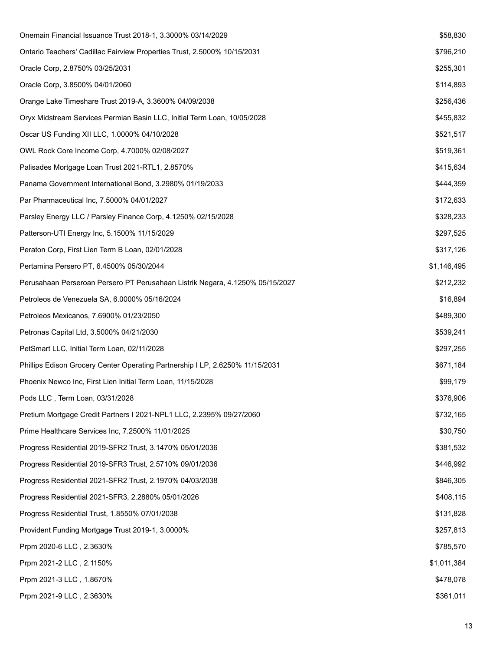| Onemain Financial Issuance Trust 2018-1, 3.3000% 03/14/2029                   | \$58,830    |
|-------------------------------------------------------------------------------|-------------|
| Ontario Teachers' Cadillac Fairview Properties Trust, 2.5000% 10/15/2031      | \$796,210   |
| Oracle Corp, 2.8750% 03/25/2031                                               | \$255,301   |
| Oracle Corp, 3.8500% 04/01/2060                                               | \$114,893   |
| Orange Lake Timeshare Trust 2019-A, 3.3600% 04/09/2038                        | \$256,436   |
| Oryx Midstream Services Permian Basin LLC, Initial Term Loan, 10/05/2028      | \$455,832   |
| Oscar US Funding XII LLC, 1.0000% 04/10/2028                                  | \$521,517   |
| OWL Rock Core Income Corp, 4.7000% 02/08/2027                                 | \$519,361   |
| Palisades Mortgage Loan Trust 2021-RTL1, 2.8570%                              | \$415,634   |
| Panama Government International Bond, 3.2980% 01/19/2033                      | \$444,359   |
| Par Pharmaceutical Inc, 7.5000% 04/01/2027                                    | \$172,633   |
| Parsley Energy LLC / Parsley Finance Corp, 4.1250% 02/15/2028                 | \$328,233   |
| Patterson-UTI Energy Inc, 5.1500% 11/15/2029                                  | \$297,525   |
| Peraton Corp, First Lien Term B Loan, 02/01/2028                              | \$317,126   |
| Pertamina Persero PT, 6.4500% 05/30/2044                                      | \$1,146,495 |
| Perusahaan Perseroan Persero PT Perusahaan Listrik Negara, 4.1250% 05/15/2027 | \$212,232   |
| Petroleos de Venezuela SA, 6.0000% 05/16/2024                                 | \$16,894    |
| Petroleos Mexicanos, 7.6900% 01/23/2050                                       | \$489,300   |
| Petronas Capital Ltd, 3.5000% 04/21/2030                                      | \$539,241   |
| PetSmart LLC, Initial Term Loan, 02/11/2028                                   | \$297,255   |
| Phillips Edison Grocery Center Operating Partnership I LP, 2.6250% 11/15/2031 | \$671,184   |
| Phoenix Newco Inc, First Lien Initial Term Loan, 11/15/2028                   | \$99,179    |
| Pods LLC, Term Loan, 03/31/2028                                               | \$376,906   |
| Pretium Mortgage Credit Partners I 2021-NPL1 LLC, 2.2395% 09/27/2060          | \$732,165   |
| Prime Healthcare Services Inc, 7.2500% 11/01/2025                             | \$30,750    |
| Progress Residential 2019-SFR2 Trust, 3.1470% 05/01/2036                      | \$381,532   |
| Progress Residential 2019-SFR3 Trust, 2.5710% 09/01/2036                      | \$446,992   |
| Progress Residential 2021-SFR2 Trust, 2.1970% 04/03/2038                      | \$846,305   |
| Progress Residential 2021-SFR3, 2.2880% 05/01/2026                            | \$408,115   |
| Progress Residential Trust, 1.8550% 07/01/2038                                | \$131,828   |
| Provident Funding Mortgage Trust 2019-1, 3.0000%                              | \$257,813   |
| Prpm 2020-6 LLC, 2.3630%                                                      | \$785,570   |
| Prpm 2021-2 LLC, 2.1150%                                                      | \$1,011,384 |
| Prpm 2021-3 LLC, 1.8670%                                                      | \$478,078   |
| Prpm 2021-9 LLC, 2.3630%                                                      | \$361,011   |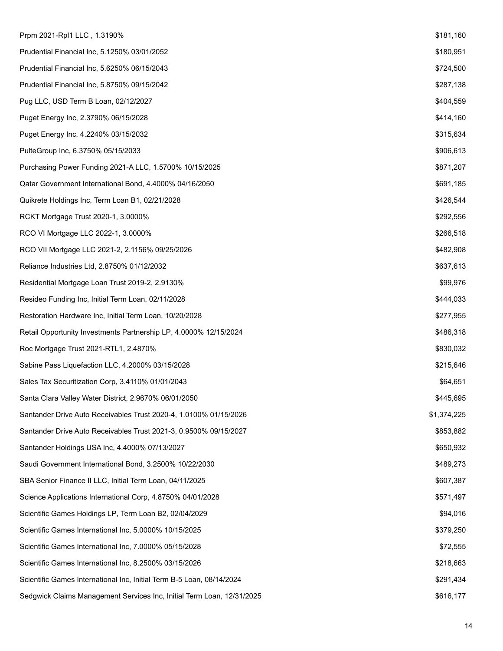| Prpm 2021-Rpl1 LLC, 1.3190%                                            | \$181,160   |
|------------------------------------------------------------------------|-------------|
| Prudential Financial Inc, 5.1250% 03/01/2052                           | \$180,951   |
| Prudential Financial Inc, 5.6250% 06/15/2043                           | \$724,500   |
| Prudential Financial Inc, 5.8750% 09/15/2042                           | \$287,138   |
| Pug LLC, USD Term B Loan, 02/12/2027                                   | \$404,559   |
| Puget Energy Inc, 2.3790% 06/15/2028                                   | \$414,160   |
| Puget Energy Inc, 4.2240% 03/15/2032                                   | \$315,634   |
| PulteGroup Inc, 6.3750% 05/15/2033                                     | \$906,613   |
| Purchasing Power Funding 2021-A LLC, 1.5700% 10/15/2025                | \$871,207   |
| Qatar Government International Bond, 4.4000% 04/16/2050                | \$691,185   |
| Quikrete Holdings Inc, Term Loan B1, 02/21/2028                        | \$426,544   |
| RCKT Mortgage Trust 2020-1, 3.0000%                                    | \$292,556   |
| RCO VI Mortgage LLC 2022-1, 3.0000%                                    | \$266,518   |
| RCO VII Mortgage LLC 2021-2, 2.1156% 09/25/2026                        | \$482,908   |
| Reliance Industries Ltd, 2.8750% 01/12/2032                            | \$637,613   |
| Residential Mortgage Loan Trust 2019-2, 2.9130%                        | \$99,976    |
| Resideo Funding Inc, Initial Term Loan, 02/11/2028                     | \$444,033   |
| Restoration Hardware Inc, Initial Term Loan, 10/20/2028                | \$277,955   |
| Retail Opportunity Investments Partnership LP, 4.0000% 12/15/2024      | \$486,318   |
| Roc Mortgage Trust 2021-RTL1, 2.4870%                                  | \$830,032   |
| Sabine Pass Liquefaction LLC, 4.2000% 03/15/2028                       | \$215,646   |
| Sales Tax Securitization Corp, 3.4110% 01/01/2043                      | \$64,651    |
| Santa Clara Valley Water District, 2.9670% 06/01/2050                  | \$445,695   |
| Santander Drive Auto Receivables Trust 2020-4, 1.0100% 01/15/2026      | \$1,374,225 |
| Santander Drive Auto Receivables Trust 2021-3, 0.9500% 09/15/2027      | \$853,882   |
| Santander Holdings USA Inc, 4.4000% 07/13/2027                         | \$650,932   |
| Saudi Government International Bond, 3.2500% 10/22/2030                | \$489,273   |
| SBA Senior Finance II LLC, Initial Term Loan, 04/11/2025               | \$607,387   |
| Science Applications International Corp, 4.8750% 04/01/2028            | \$571,497   |
| Scientific Games Holdings LP, Term Loan B2, 02/04/2029                 | \$94,016    |
| Scientific Games International Inc, 5.0000% 10/15/2025                 | \$379,250   |
| Scientific Games International Inc, 7.0000% 05/15/2028                 | \$72,555    |
| Scientific Games International Inc, 8.2500% 03/15/2026                 | \$218,663   |
| Scientific Games International Inc, Initial Term B-5 Loan, 08/14/2024  | \$291,434   |
| Sedgwick Claims Management Services Inc, Initial Term Loan, 12/31/2025 | \$616,177   |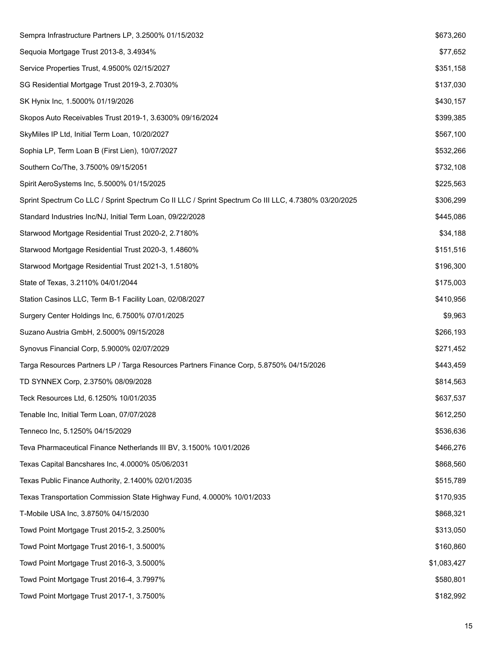| Sempra Infrastructure Partners LP, 3.2500% 01/15/2032                                               | \$673,260   |
|-----------------------------------------------------------------------------------------------------|-------------|
| Sequoia Mortgage Trust 2013-8, 3.4934%                                                              | \$77,652    |
| Service Properties Trust, 4.9500% 02/15/2027                                                        | \$351,158   |
| SG Residential Mortgage Trust 2019-3, 2.7030%                                                       | \$137,030   |
| SK Hynix Inc, 1.5000% 01/19/2026                                                                    | \$430,157   |
| Skopos Auto Receivables Trust 2019-1, 3.6300% 09/16/2024                                            | \$399,385   |
| SkyMiles IP Ltd, Initial Term Loan, 10/20/2027                                                      | \$567,100   |
| Sophia LP, Term Loan B (First Lien), 10/07/2027                                                     | \$532,266   |
| Southern Co/The, 3.7500% 09/15/2051                                                                 | \$732,108   |
| Spirit AeroSystems Inc, 5.5000% 01/15/2025                                                          | \$225,563   |
| Sprint Spectrum Co LLC / Sprint Spectrum Co II LLC / Sprint Spectrum Co III LLC, 4.7380% 03/20/2025 | \$306,299   |
| Standard Industries Inc/NJ, Initial Term Loan, 09/22/2028                                           | \$445,086   |
| Starwood Mortgage Residential Trust 2020-2, 2.7180%                                                 | \$34,188    |
| Starwood Mortgage Residential Trust 2020-3, 1.4860%                                                 | \$151,516   |
| Starwood Mortgage Residential Trust 2021-3, 1.5180%                                                 | \$196,300   |
| State of Texas, 3.2110% 04/01/2044                                                                  | \$175,003   |
| Station Casinos LLC, Term B-1 Facility Loan, 02/08/2027                                             | \$410,956   |
| Surgery Center Holdings Inc, 6.7500% 07/01/2025                                                     | \$9,963     |
| Suzano Austria GmbH, 2.5000% 09/15/2028                                                             | \$266,193   |
| Synovus Financial Corp, 5.9000% 02/07/2029                                                          | \$271,452   |
| Targa Resources Partners LP / Targa Resources Partners Finance Corp, 5.8750% 04/15/2026             | \$443,459   |
| TD SYNNEX Corp, 2.3750% 08/09/2028                                                                  | \$814,563   |
| Teck Resources Ltd, 6.1250% 10/01/2035                                                              | \$637,537   |
| Tenable Inc, Initial Term Loan, 07/07/2028                                                          | \$612,250   |
| Tenneco Inc, 5.1250% 04/15/2029                                                                     | \$536,636   |
| Teva Pharmaceutical Finance Netherlands III BV, 3.1500% 10/01/2026                                  | \$466,276   |
| Texas Capital Bancshares Inc, 4.0000% 05/06/2031                                                    | \$868,560   |
| Texas Public Finance Authority, 2.1400% 02/01/2035                                                  | \$515,789   |
| Texas Transportation Commission State Highway Fund, 4.0000% 10/01/2033                              | \$170,935   |
| T-Mobile USA Inc, 3.8750% 04/15/2030                                                                | \$868,321   |
| Towd Point Mortgage Trust 2015-2, 3.2500%                                                           | \$313,050   |
| Towd Point Mortgage Trust 2016-1, 3.5000%                                                           | \$160,860   |
| Towd Point Mortgage Trust 2016-3, 3.5000%                                                           | \$1,083,427 |
| Towd Point Mortgage Trust 2016-4, 3.7997%                                                           | \$580,801   |
| Towd Point Mortgage Trust 2017-1, 3.7500%                                                           | \$182,992   |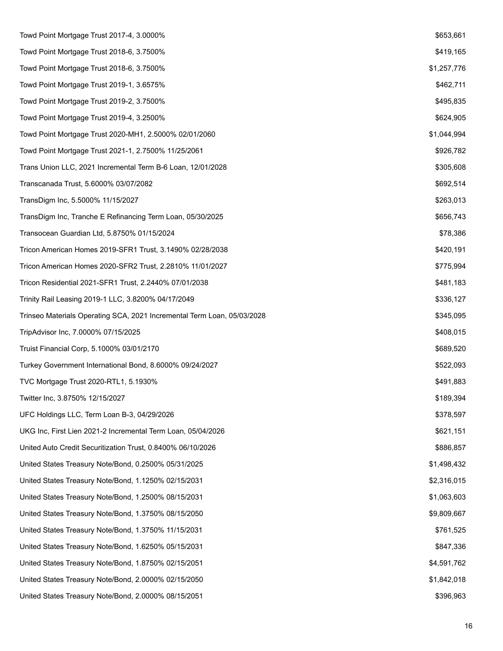| Towd Point Mortgage Trust 2017-4, 3.0000%                               | \$653,661   |
|-------------------------------------------------------------------------|-------------|
| Towd Point Mortgage Trust 2018-6, 3.7500%                               | \$419,165   |
| Towd Point Mortgage Trust 2018-6, 3.7500%                               | \$1,257,776 |
| Towd Point Mortgage Trust 2019-1, 3.6575%                               | \$462,711   |
| Towd Point Mortgage Trust 2019-2, 3.7500%                               | \$495,835   |
| Towd Point Mortgage Trust 2019-4, 3.2500%                               | \$624,905   |
| Towd Point Mortgage Trust 2020-MH1, 2.5000% 02/01/2060                  | \$1,044,994 |
| Towd Point Mortgage Trust 2021-1, 2.7500% 11/25/2061                    | \$926,782   |
| Trans Union LLC, 2021 Incremental Term B-6 Loan, 12/01/2028             | \$305,608   |
| Transcanada Trust, 5.6000% 03/07/2082                                   | \$692,514   |
| TransDigm Inc, 5.5000% 11/15/2027                                       | \$263,013   |
| TransDigm Inc, Tranche E Refinancing Term Loan, 05/30/2025              | \$656,743   |
| Transocean Guardian Ltd, 5.8750% 01/15/2024                             | \$78,386    |
| Tricon American Homes 2019-SFR1 Trust, 3.1490% 02/28/2038               | \$420,191   |
| Tricon American Homes 2020-SFR2 Trust, 2.2810% 11/01/2027               | \$775,994   |
| Tricon Residential 2021-SFR1 Trust, 2.2440% 07/01/2038                  | \$481,183   |
| Trinity Rail Leasing 2019-1 LLC, 3.8200% 04/17/2049                     | \$336,127   |
| Trinseo Materials Operating SCA, 2021 Incremental Term Loan, 05/03/2028 | \$345,095   |
| TripAdvisor Inc, 7.0000% 07/15/2025                                     | \$408,015   |
| Truist Financial Corp, 5.1000% 03/01/2170                               | \$689,520   |
| Turkey Government International Bond, 8.6000% 09/24/2027                | \$522,093   |
| TVC Mortgage Trust 2020-RTL1, 5.1930%                                   | \$491,883   |
| Twitter Inc, 3.8750% 12/15/2027                                         | \$189,394   |
| UFC Holdings LLC, Term Loan B-3, 04/29/2026                             | \$378,597   |
| UKG Inc, First Lien 2021-2 Incremental Term Loan, 05/04/2026            | \$621,151   |
| United Auto Credit Securitization Trust, 0.8400% 06/10/2026             | \$886,857   |
| United States Treasury Note/Bond, 0.2500% 05/31/2025                    | \$1,498,432 |
| United States Treasury Note/Bond, 1.1250% 02/15/2031                    | \$2,316,015 |
| United States Treasury Note/Bond, 1.2500% 08/15/2031                    | \$1,063,603 |
| United States Treasury Note/Bond, 1.3750% 08/15/2050                    | \$9,809,667 |
| United States Treasury Note/Bond, 1.3750% 11/15/2031                    | \$761,525   |
| United States Treasury Note/Bond, 1.6250% 05/15/2031                    | \$847,336   |
| United States Treasury Note/Bond, 1.8750% 02/15/2051                    | \$4,591,762 |
| United States Treasury Note/Bond, 2.0000% 02/15/2050                    | \$1,842,018 |
| United States Treasury Note/Bond, 2.0000% 08/15/2051                    | \$396,963   |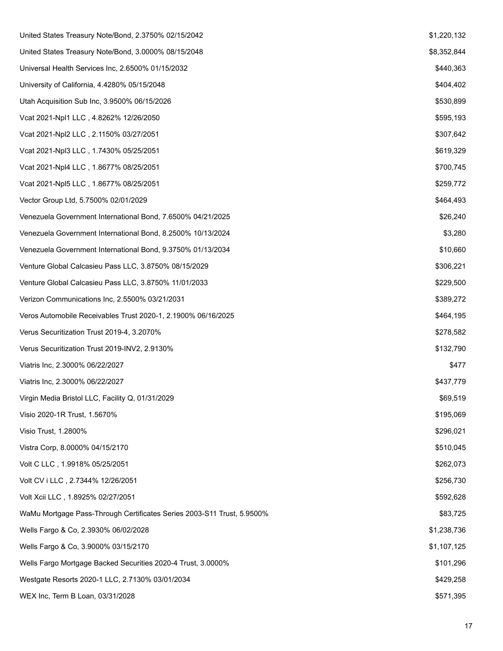| United States Treasury Note/Bond, 2.3750% 02/15/2042                   | \$1,220,132 |
|------------------------------------------------------------------------|-------------|
| United States Treasury Note/Bond, 3.0000% 08/15/2048                   | \$8,352,844 |
| Universal Health Services Inc, 2.6500% 01/15/2032                      | \$440,363   |
| University of California, 4.4280% 05/15/2048                           | \$404,402   |
| Utah Acquisition Sub Inc, 3.9500% 06/15/2026                           | \$530,899   |
| Vcat 2021-Npl1 LLC, 4.8262% 12/26/2050                                 | \$595,193   |
| Vcat 2021-Npl2 LLC, 2.1150% 03/27/2051                                 | \$307,642   |
| Vcat 2021-Npl3 LLC, 1.7430% 05/25/2051                                 | \$619,329   |
| Vcat 2021-Npl4 LLC, 1.8677% 08/25/2051                                 | \$700,745   |
| Vcat 2021-Npl5 LLC, 1.8677% 08/25/2051                                 | \$259,772   |
| Vector Group Ltd, 5.7500% 02/01/2029                                   | \$464,493   |
| Venezuela Government International Bond, 7.6500% 04/21/2025            | \$26,240    |
| Venezuela Government International Bond, 8.2500% 10/13/2024            | \$3,280     |
| Venezuela Government International Bond, 9.3750% 01/13/2034            | \$10,660    |
| Venture Global Calcasieu Pass LLC, 3.8750% 08/15/2029                  | \$306,221   |
| Venture Global Calcasieu Pass LLC, 3.8750% 11/01/2033                  | \$229,500   |
| Verizon Communications Inc, 2.5500% 03/21/2031                         | \$389,272   |
| Veros Automobile Receivables Trust 2020-1, 2.1900% 06/16/2025          | \$464,195   |
| Verus Securitization Trust 2019-4, 3.2070%                             | \$278,582   |
| Verus Securitization Trust 2019-INV2, 2.9130%                          | \$132,790   |
| Viatris Inc, 2.3000% 06/22/2027                                        | \$477       |
| Viatris Inc, 2.3000% 06/22/2027                                        | \$437,779   |
| Virgin Media Bristol LLC, Facility Q, 01/31/2029                       | \$69,519    |
| Visio 2020-1R Trust, 1.5670%                                           | \$195,069   |
| Visio Trust, 1.2800%                                                   | \$296,021   |
| Vistra Corp, 8.0000% 04/15/2170                                        | \$510,045   |
| Volt C LLC, 1.9918% 05/25/2051                                         | \$262,073   |
| Volt CV i LLC, 2.7344% 12/26/2051                                      | \$256,730   |
| Volt Xcii LLC, 1.8925% 02/27/2051                                      | \$592,628   |
| WaMu Mortgage Pass-Through Certificates Series 2003-S11 Trust, 5.9500% | \$83,725    |
| Wells Fargo & Co, 2.3930% 06/02/2028                                   | \$1,238,736 |
| Wells Fargo & Co, 3.9000% 03/15/2170                                   | \$1,107,125 |
| Wells Fargo Mortgage Backed Securities 2020-4 Trust, 3.0000%           | \$101,296   |
| Westgate Resorts 2020-1 LLC, 2.7130% 03/01/2034                        | \$429,258   |
| WEX Inc, Term B Loan, 03/31/2028                                       | \$571,395   |